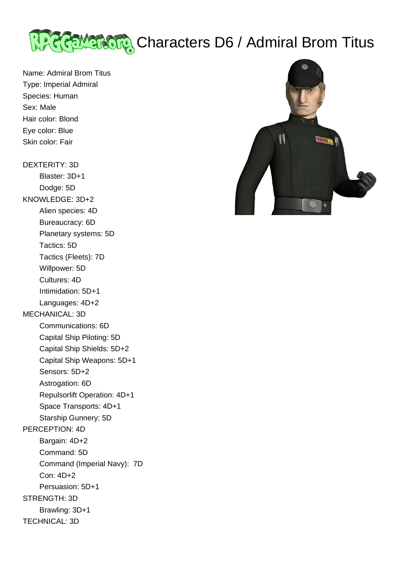

Name: Admiral Brom Titus Type: Imperial Admiral Species: Human Sex: Male Hair color: Blond Eye color: Blue Skin color: Fair

## DEXTERITY: 3D

 Blaster: 3D+1 Dodge: 5D KNOWLEDGE: 3D+2 Alien species: 4D Bureaucracy: 6D Planetary systems: 5D Tactics: 5D Tactics (Fleets): 7D Willpower: 5D Cultures: 4D Intimidation: 5D+1 Languages: 4D+2 MECHANICAL: 3D Communications: 6D Capital Ship Piloting: 5D Capital Ship Shields: 5D+2 Capital Ship Weapons: 5D+1 Sensors: 5D+2 Astrogation: 6D Repulsorlift Operation: 4D+1 Space Transports: 4D+1 Starship Gunnery: 5D PERCEPTION: 4D Bargain: 4D+2 Command: 5D Command (Imperial Navy): 7D Con: 4D+2 Persuasion: 5D+1 STRENGTH: 3D Brawling: 3D+1 TECHNICAL: 3D

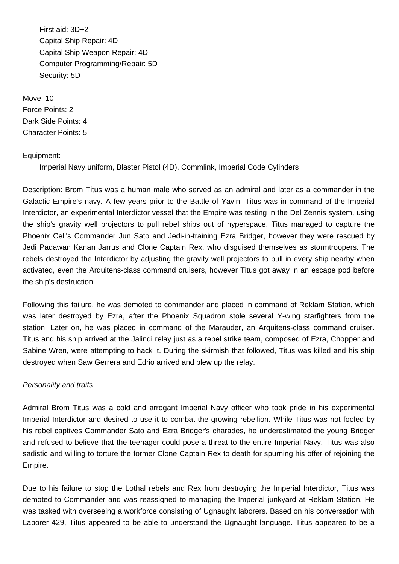First aid: 3D+2 Capital Ship Repair: 4D Capital Ship Weapon Repair: 4D Computer Programming/Repair: 5D Security: 5D

Move: 10 Force Points: 2 Dark Side Points: 4 Character Points: 5

## Equipment:

Imperial Navy uniform, Blaster Pistol (4D), Commlink, Imperial Code Cylinders

Description: Brom Titus was a human male who served as an admiral and later as a commander in the Galactic Empire's navy. A few years prior to the Battle of Yavin, Titus was in command of the Imperial Interdictor, an experimental Interdictor vessel that the Empire was testing in the Del Zennis system, using the ship's gravity well projectors to pull rebel ships out of hyperspace. Titus managed to capture the Phoenix Cell's Commander Jun Sato and Jedi-in-training Ezra Bridger, however they were rescued by Jedi Padawan Kanan Jarrus and Clone Captain Rex, who disguised themselves as stormtroopers. The rebels destroyed the Interdictor by adjusting the gravity well projectors to pull in every ship nearby when activated, even the Arquitens-class command cruisers, however Titus got away in an escape pod before the ship's destruction.

Following this failure, he was demoted to commander and placed in command of Reklam Station, which was later destroyed by Ezra, after the Phoenix Squadron stole several Y-wing starfighters from the station. Later on, he was placed in command of the Marauder, an Arquitens-class command cruiser. Titus and his ship arrived at the Jalindi relay just as a rebel strike team, composed of Ezra, Chopper and Sabine Wren, were attempting to hack it. During the skirmish that followed, Titus was killed and his ship destroyed when Saw Gerrera and Edrio arrived and blew up the relay.

## Personality and traits

Admiral Brom Titus was a cold and arrogant Imperial Navy officer who took pride in his experimental Imperial Interdictor and desired to use it to combat the growing rebellion. While Titus was not fooled by his rebel captives Commander Sato and Ezra Bridger's charades, he underestimated the young Bridger and refused to believe that the teenager could pose a threat to the entire Imperial Navy. Titus was also sadistic and willing to torture the former Clone Captain Rex to death for spurning his offer of rejoining the Empire.

Due to his failure to stop the Lothal rebels and Rex from destroying the Imperial Interdictor, Titus was demoted to Commander and was reassigned to managing the Imperial junkyard at Reklam Station. He was tasked with overseeing a workforce consisting of Ugnaught laborers. Based on his conversation with Laborer 429, Titus appeared to be able to understand the Ugnaught language. Titus appeared to be a